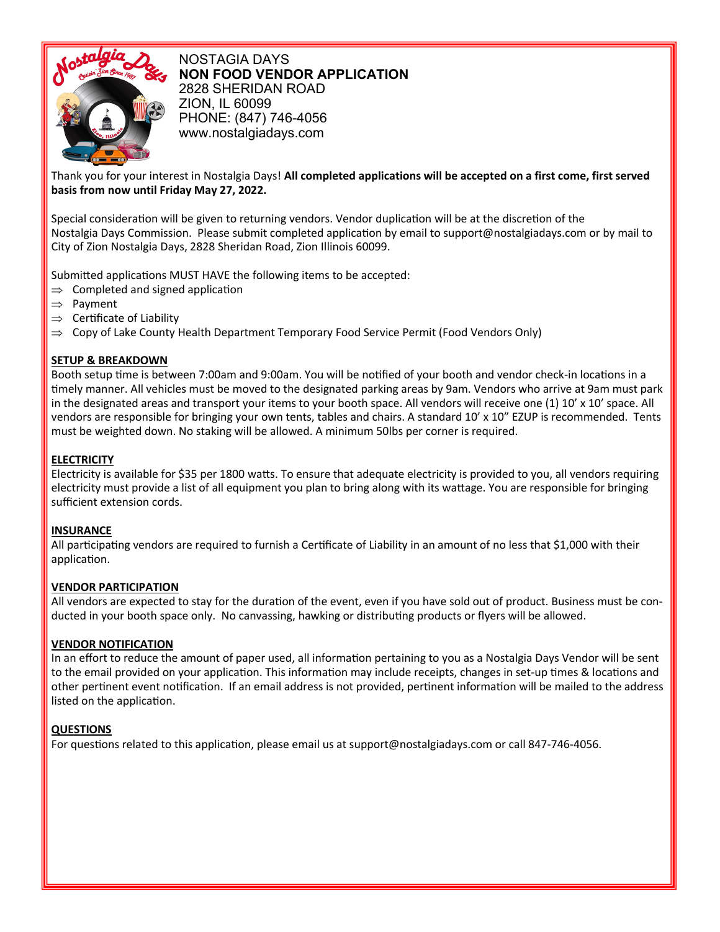

NOSTAGIA DAYS **NON FOOD VENDOR APPLICATION** 2828 SHERIDAN ROAD ZION, IL 60099 PHONE: (847) 746-4056 www.nostalgiadays.com

### Thank you for your interest in Nostalgia Days! **All completed applications will be accepted on a first come, first served basis from now until Friday May 27, 2022.**

Special consideration will be given to returning vendors. Vendor duplication will be at the discretion of the Nostalgia Days Commission. Please submit completed application by email to support@nostalgiadays.com or by mail to City of Zion Nostalgia Days, 2828 Sheridan Road, Zion Illinois 60099.

Submitted applications MUST HAVE the following items to be accepted:

- $\Rightarrow$  Completed and signed application
- $\Rightarrow$  Payment
- $\Rightarrow$  Certificate of Liability
- $\Rightarrow$  Copy of Lake County Health Department Temporary Food Service Permit (Food Vendors Only)

### **SETUP & BREAKDOWN**

Booth setup time is between 7:00am and 9:00am. You will be notified of your booth and vendor check-in locations in a timely manner. All vehicles must be moved to the designated parking areas by 9am. Vendors who arrive at 9am must park in the designated areas and transport your items to your booth space. All vendors will receive one (1) 10' x 10' space. All vendors are responsible for bringing your own tents, tables and chairs. A standard 10' x 10" EZUP is recommended. Tents must be weighted down. No staking will be allowed. A minimum 50lbs per corner is required.

# **ELECTRICITY**

electricity must provide a list of all equipment you plan to bring along with its wattage. You are responsible for bringing Electricity is available for \$35 per 1800 watts. To ensure that adequate electricity is provided to you, all vendors requiring sufficient extension cords.

#### **INSURANCE**

All participating vendors are required to furnish a Certificate of Liability in an amount of no less that \$1,000 with their application.

#### **VENDOR PARTICIPATION**

All vendors are expected to stay for the duration of the event, even if you have sold out of product. Business must be conducted in your booth space only. No canvassing, hawking or distributing products or flyers will be allowed.

## **VENDOR NOTIFICATION**

In an effort to reduce the amount of paper used, all information pertaining to you as a Nostalgia Days Vendor will be sent to the email provided on your application. This information may include receipts, changes in set-up times & locations and other pertinent event notification. If an email address is not provided, pertinent information will be mailed to the address listed on the application.

## **QUESTIONS**

For questions related to this application, please email us at support@nostalgiadays.com or call 847-746-4056.